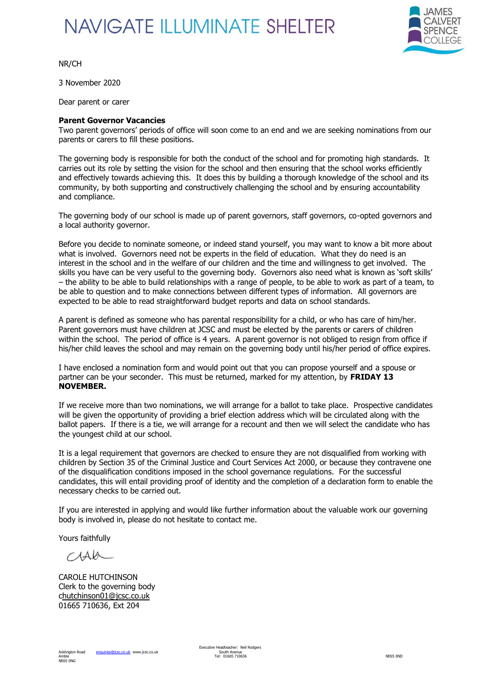## **NAVIGATE ILLUMINATE SHELTER**



NR/CH

3 November 2020

Dear parent or carer

## **Parent Governor Vacancies**

Two parent governors' periods of office will soon come to an end and we are seeking nominations from our parents or carers to fill these positions.

The governing body is responsible for both the conduct of the school and for promoting high standards. It carries out its role by setting the vision for the school and then ensuring that the school works efficiently and effectively towards achieving this. It does this by building a thorough knowledge of the school and its community, by both supporting and constructively challenging the school and by ensuring accountability and compliance.

The governing body of our school is made up of parent governors, staff governors, co-opted governors and a local authority governor.

Before you decide to nominate someone, or indeed stand yourself, you may want to know a bit more about what is involved. Governors need not be experts in the field of education. What they do need is an interest in the school and in the welfare of our children and the time and willingness to get involved. The skills you have can be very useful to the governing body. Governors also need what is known as 'soft skills' – the ability to be able to build relationships with a range of people, to be able to work as part of a team, to be able to question and to make connections between different types of information. All governors are expected to be able to read straightforward budget reports and data on school standards.

A parent is defined as someone who has parental responsibility for a child, or who has care of him/her. Parent governors must have children at JCSC and must be elected by the parents or carers of children within the school. The period of office is 4 years. A parent governor is not obliged to resign from office if his/her child leaves the school and may remain on the governing body until his/her period of office expires.

I have enclosed a nomination form and would point out that you can propose yourself and a spouse or partner can be your seconder. This must be returned, marked for my attention, by **FRIDAY 13 NOVEMBER.**

If we receive more than two nominations, we will arrange for a ballot to take place. Prospective candidates will be given the opportunity of providing a brief election address which will be circulated along with the ballot papers. If there is a tie, we will arrange for a recount and then we will select the candidate who has the youngest child at our school.

It is a legal requirement that governors are checked to ensure they are not disqualified from working with children by Section 35 of the Criminal Justice and Court Services Act 2000, or because they contravene one of the disqualification conditions imposed in the school governance regulations. For the successful candidates, this will entail providing proof of identity and the completion of a declaration form to enable the necessary checks to be carried out.

If you are interested in applying and would like further information about the valuable work our governing body is involved in, please do not hesitate to contact me.

Yours faithfully

 $MAA$ 

CAROLE HUTCHINSON Clerk to the governing body [chutchinson01@jcsc.co.uk](mailto:hutchinson01@jcsc.co.uk) 01665 710636, Ext 204